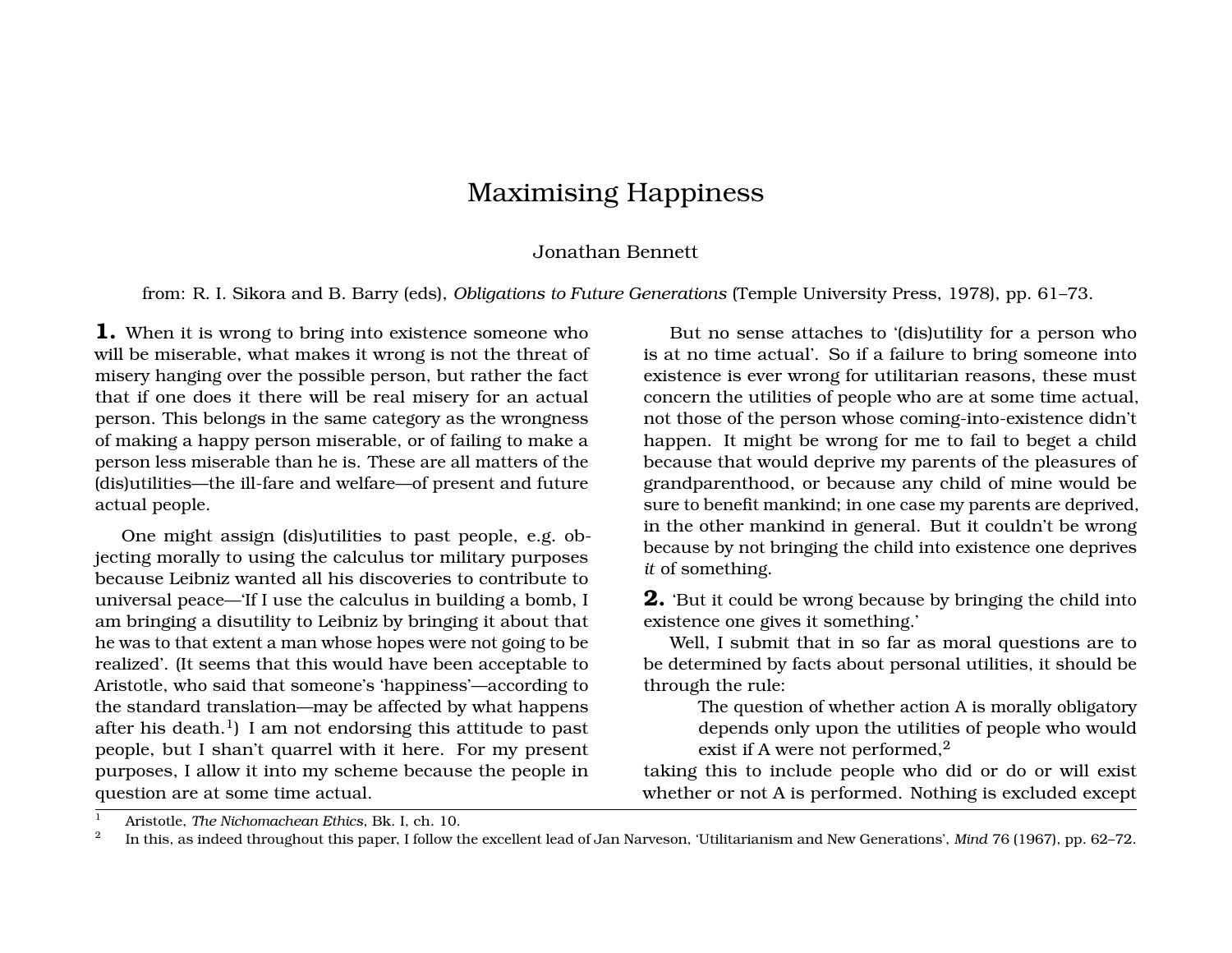## Maximising Happiness

## Jonathan Bennett

from: R. I. Sikora and B. Barry (eds), *Obligations to Future Generations* (Temple University Press, 1978), pp. 61–73.

**1.** When it is wrong to bring into existence someone who will be miserable, what makes it wrong is not the threat of misery hanging over the possible person, but rather the fact that if one does it there will be real misery for an actual person. This belongs in the same category as the wrongness of making a happy person miserable, or of failing to make a person less miserable than he is. These are all matters of the (dis)utilities—the ill-fare and welfare—of present and future actual people.

One might assign (dis)utilities to past people, e.g. objecting morally to using the calculus tor military purposes because Leibniz wanted all his discoveries to contribute to universal peace—'If I use the calculus in building a bomb, I am bringing a disutility to Leibniz by bringing it about that he was to that extent a man whose hopes were not going to be realized'. (It seems that this would have been acceptable to Aristotle, who said that someone's 'happiness'—according to the standard translation—may be affected by what happens after his death. $^{\rm l}$ ) I am not endorsing this attitude to past people, but I shan't quarrel with it here. For my present purposes, I allow it into my scheme because the people in question are at some time actual.

But no sense attaches to '(dis)utility for a person who is at no time actual'. So if a failure to bring someone into existence is ever wrong for utilitarian reasons, these must concern the utilities of people who are at some time actual, not those of the person whose coming-into-existence didn't happen. It might be wrong for me to fail to beget a child because that would deprive my parents of the pleasures of grandparenthood, or because any child of mine would be sure to benefit mankind; in one case my parents are deprived, in the other mankind in general. But it couldn't be wrong because by not bringing the child into existence one deprives *it* of something.

**2.** 'But it could be wrong because by bringing the child into existence one gives it something.'

Well, I submit that in so far as moral questions are to be determined by facts about personal utilities, it should be through the rule:

> The question of whether action A is morally obligatory depends only upon the utilities of people who would exist if A were not performed,<sup>2</sup>

taking this to include people who did or do or will exist whether or not A is performed. Nothing is excluded except

<sup>1</sup> Aristotle, *The Nichomachean Ethics*, Bk. I, ch. 10.

<sup>2</sup> In this, as indeed throughout this paper, I follow the excellent lead of Jan Narveson, 'Utilitarianism and New Generations', *Mind* 76 (1967), pp. 62–72.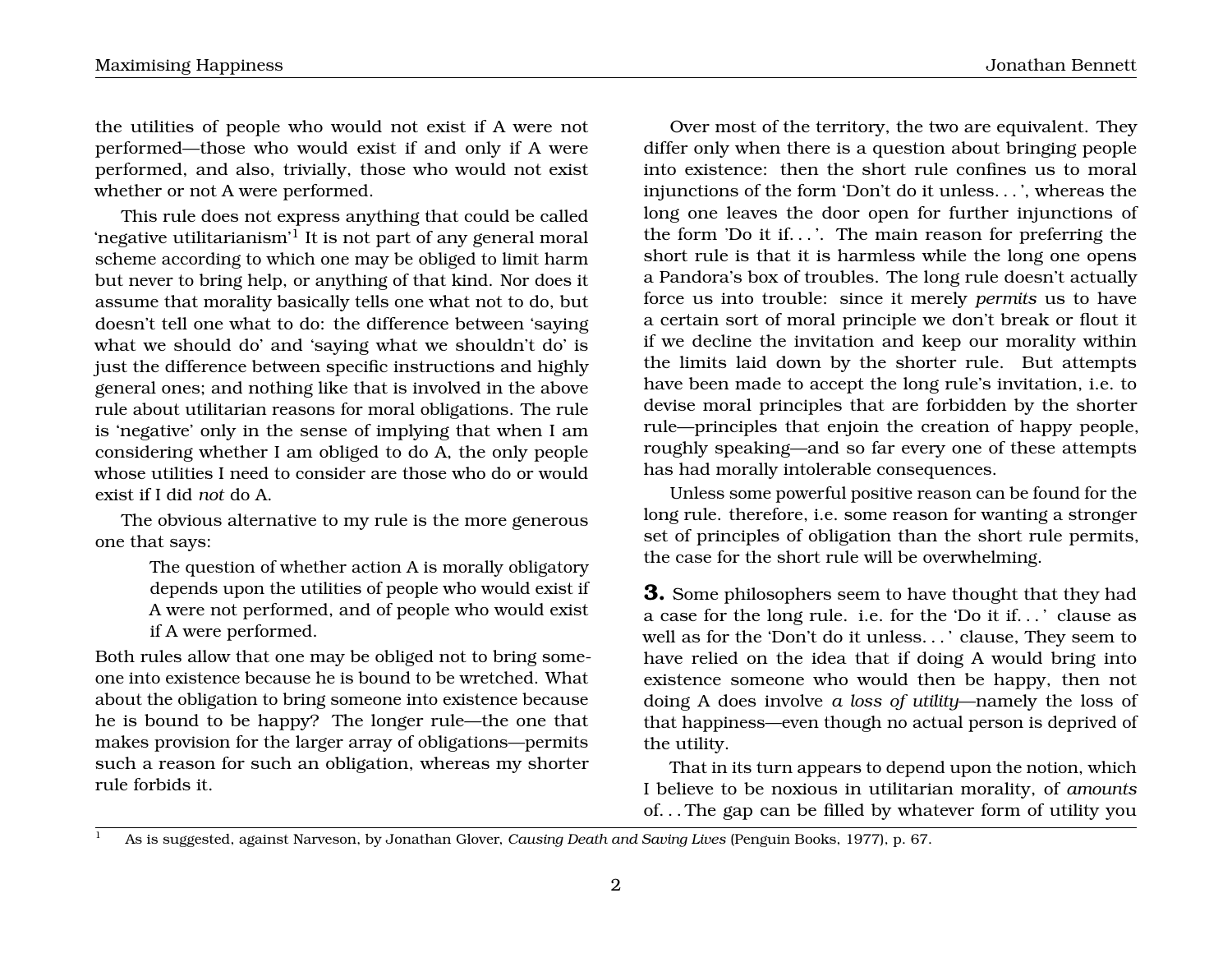the utilities of people who would not exist if A were not performed—those who would exist if and only if A were performed, and also, trivially, those who would not exist whether or not A were performed.

This rule does not express anything that could be called 'negative utilitarianism' $^{\rm l}$  It is not part of any general moral scheme according to which one may be obliged to limit harm but never to bring help, or anything of that kind. Nor does it assume that morality basically tells one what not to do, but doesn't tell one what to do: the difference between 'saying what we should do' and 'saying what we shouldn't do' is just the difference between specific instructions and highly general ones; and nothing like that is involved in the above rule about utilitarian reasons for moral obligations. The rule is 'negative' only in the sense of implying that when I am considering whether I am obliged to do A, the only people whose utilities I need to consider are those who do or would exist if I did *not* do A.

The obvious alternative to my rule is the more generous one that says:

> The question of whether action A is morally obligatory depends upon the utilities of people who would exist if A were not performed, and of people who would exist if A were performed.

Both rules allow that one may be obliged not to bring someone into existence because he is bound to be wretched. What about the obligation to bring someone into existence because he is bound to be happy? The longer rule—the one that makes provision for the larger array of obligations—permits such a reason for such an obligation, whereas my shorter rule forbids it.

Over most of the territory, the two are equivalent. They differ only when there is a question about bringing people into existence: then the short rule confines us to moral injunctions of the form 'Don't do it unless. . . ', whereas the long one leaves the door open for further injunctions of the form 'Do it if. . . '. The main reason for preferring the short rule is that it is harmless while the long one opens a Pandora's box of troubles. The long rule doesn't actually force us into trouble: since it merely *permits* us to have a certain sort of moral principle we don't break or flout it if we decline the invitation and keep our morality within the limits laid down by the shorter rule. But attempts have been made to accept the long rule's invitation, i.e. to devise moral principles that are forbidden by the shorter rule—principles that enjoin the creation of happy people, roughly speaking—and so far every one of these attempts has had morally intolerable consequences.

Unless some powerful positive reason can be found for the long rule. therefore, i.e. some reason for wanting a stronger set of principles of obligation than the short rule permits, the case for the short rule will be overwhelming.

**3.** Some philosophers seem to have thought that they had a case for the long rule. i.e. for the 'Do it if. . . ' clause as well as for the 'Don't do it unless. . . ' clause, They seem to have relied on the idea that if doing A would bring into existence someone who would then be happy, then not doing A does involve *a loss of utility*—namely the loss of that happiness—even though no actual person is deprived of the utility.

That in its turn appears to depend upon the notion, which I believe to be noxious in utilitarian morality, of *amounts* of. . . The gap can be filled by whatever form of utility you

<sup>1</sup> As is suggested, against Narveson, by Jonathan Glover, *Causing Death and Saving Lives* (Penguin Books, 1977), p. 67.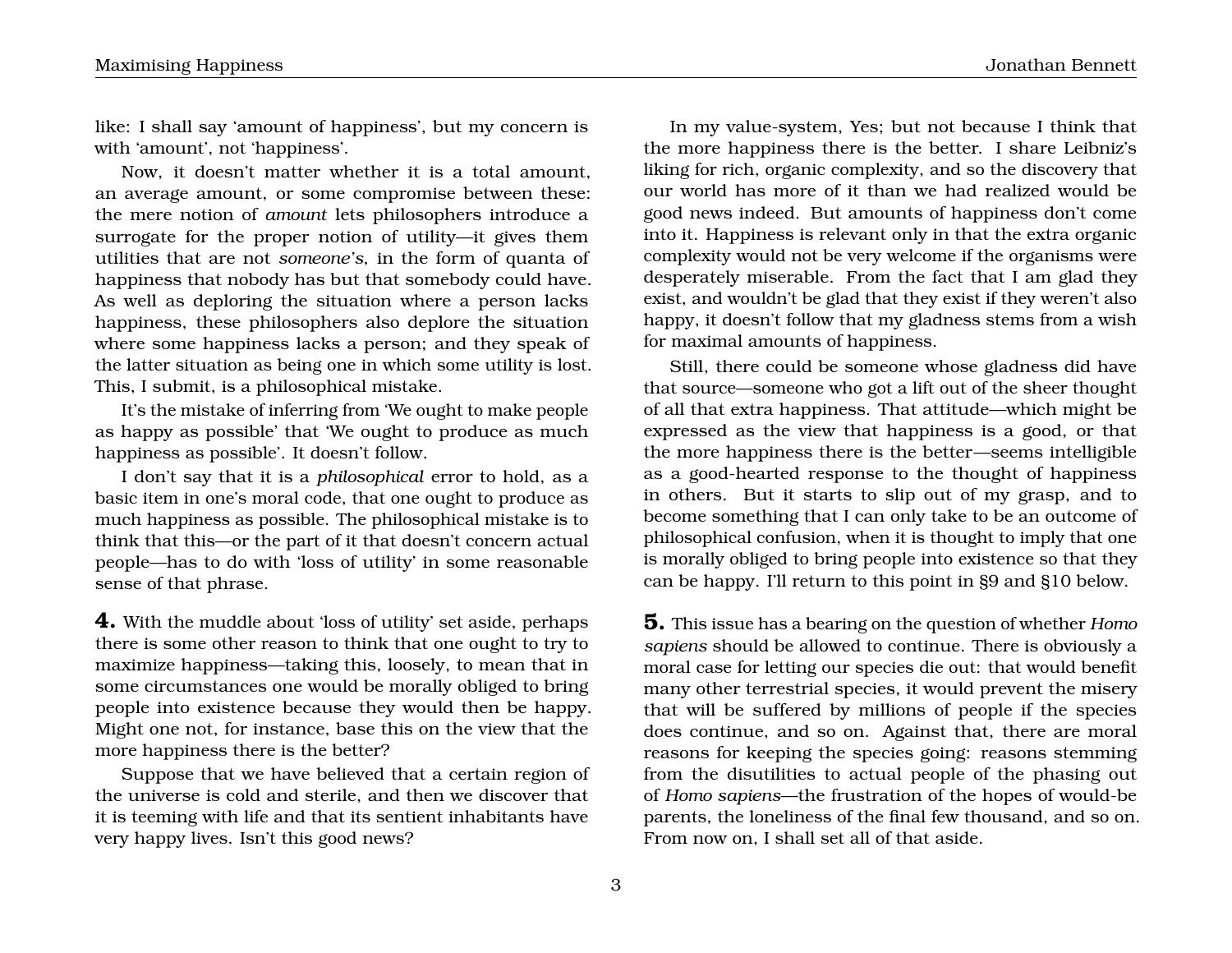like: I shall say 'amount of happiness', but my concern is with 'amount', not 'happiness'.

Now, it doesn't matter whether it is a total amount, an average amount, or some compromise between these: the mere notion of *amount* lets philosophers introduce a surrogate for the proper notion of utility—it gives them utilities that are not *someone's*, in the form of quanta of happiness that nobody has but that somebody could have. As well as deploring the situation where a person lacks happiness, these philosophers also deplore the situation where some happiness lacks a person; and they speak of the latter situation as being one in which some utility is lost. This, I submit, is a philosophical mistake.

It's the mistake of inferring from 'We ought to make people as happy as possible' that 'We ought to produce as much happiness as possible'. It doesn't follow.

I don't say that it is a *philosophical* error to hold, as a basic item in one's moral code, that one ought to produce as much happiness as possible. The philosophical mistake is to think that this—or the part of it that doesn't concern actual people—has to do with 'loss of utility' in some reasonable sense of that phrase.

**4.** With the muddle about 'loss of utility' set aside, perhaps there is some other reason to think that one ought to try to maximize happiness—taking this, loosely, to mean that in some circumstances one would be morally obliged to bring people into existence because they would then be happy. Might one not, for instance, base this on the view that the more happiness there is the better?

Suppose that we have believed that a certain region of the universe is cold and sterile, and then we discover that it is teeming with life and that its sentient inhabitants have very happy lives. Isn't this good news?

In my value-system, Yes; but not because I think that the more happiness there is the better. I share Leibniz's liking for rich, organic complexity, and so the discovery that our world has more of it than we had realized would be good news indeed. But amounts of happiness don't come into it. Happiness is relevant only in that the extra organic complexity would not be very welcome if the organisms were desperately miserable. From the fact that I am glad they exist, and wouldn't be glad that they exist if they weren't also happy, it doesn't follow that my gladness stems from a wish for maximal amounts of happiness.

Still, there could be someone whose gladness did have that source—someone who got a lift out of the sheer thought of all that extra happiness. That attitude—which might be expressed as the view that happiness is a good, or that the more happiness there is the better—seems intelligible as a good-hearted response to the thought of happiness in others. But it starts to slip out of my grasp, and to become something that I can only take to be an outcome of philosophical confusion, when it is thought to imply that one is morally obliged to bring people into existence so that they can be happy. I'll return to this point in §9 and §10 below.

**5.** This issue has a bearing on the question of whether *Homo sapiens* should be allowed to continue. There is obviously a moral case for letting our species die out: that would benefit many other terrestrial species, it would prevent the misery that will be suffered by millions of people if the species does continue, and so on. Against that, there are moral reasons for keeping the species going: reasons stemming from the disutilities to actual people of the phasing out of *Homo sapiens*—the frustration of the hopes of would-be parents, the loneliness of the final few thousand, and so on. From now on, I shall set all of that aside.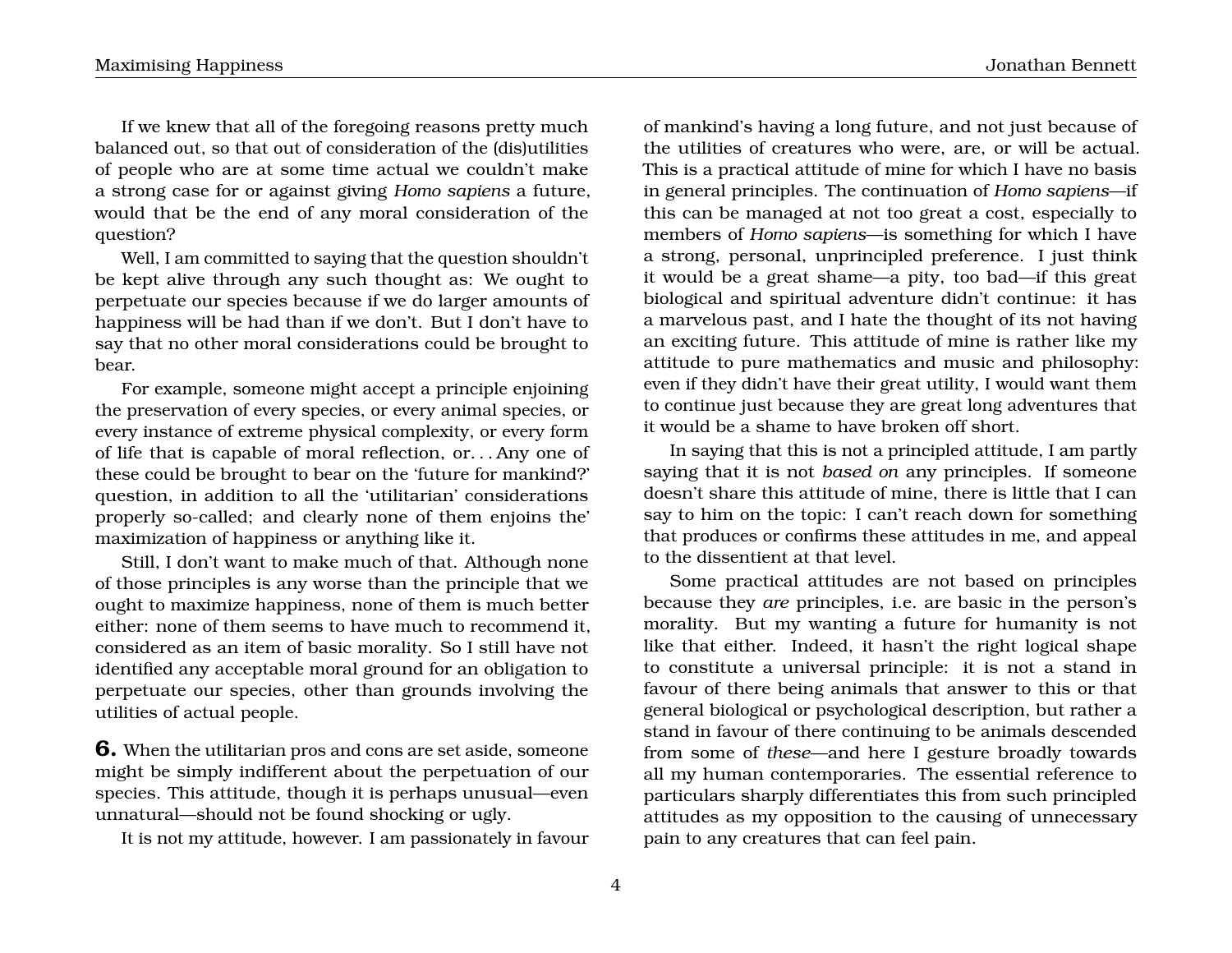If we knew that all of the foregoing reasons pretty much balanced out, so that out of consideration of the (dis)utilities of people who are at some time actual we couldn't make a strong case for or against giving *Homo sapiens* a future, would that be the end of any moral consideration of the question?

Well, I am committed to saying that the question shouldn't be kept alive through any such thought as: We ought to perpetuate our species because if we do larger amounts of happiness will be had than if we don't. But I don't have to say that no other moral considerations could be brought to bear.

For example, someone might accept a principle enjoining the preservation of every species, or every animal species, or every instance of extreme physical complexity, or every form of life that is capable of moral reflection, or. . . Any one of these could be brought to bear on the 'future for mankind?' question, in addition to all the 'utilitarian' considerations properly so-called; and clearly none of them enjoins the' maximization of happiness or anything like it.

Still, I don't want to make much of that. Although none of those principles is any worse than the principle that we ought to maximize happiness, none of them is much better either: none of them seems to have much to recommend it, considered as an item of basic morality. So I still have not identified any acceptable moral ground for an obligation to perpetuate our species, other than grounds involving the utilities of actual people.

**6.** When the utilitarian pros and cons are set aside, someone might be simply indifferent about the perpetuation of our species. This attitude, though it is perhaps unusual—even unnatural—should not be found shocking or ugly.

It is not my attitude, however. I am passionately in favour

of mankind's having a long future, and not just because of the utilities of creatures who were, are, or will be actual. This is a practical attitude of mine for which I have no basis in general principles. The continuation of *Homo sapiens*—if this can be managed at not too great a cost, especially to members of *Homo sapiens*—is something for which I have a strong, personal, unprincipled preference. I just think it would be a great shame—a pity, too bad—if this great biological and spiritual adventure didn't continue: it has a marvelous past, and I hate the thought of its not having an exciting future. This attitude of mine is rather like my attitude to pure mathematics and music and philosophy: even if they didn't have their great utility, I would want them to continue just because they are great long adventures that it would be a shame to have broken off short.

In saying that this is not a principled attitude, I am partly saying that it is not *based on* any principles. If someone doesn't share this attitude of mine, there is little that I can say to him on the topic: I can't reach down for something that produces or confirms these attitudes in me, and appeal to the dissentient at that level.

Some practical attitudes are not based on principles because they *are* principles, i.e. are basic in the person's morality. But my wanting a future for humanity is not like that either. Indeed, it hasn't the right logical shape to constitute a universal principle: it is not a stand in favour of there being animals that answer to this or that general biological or psychological description, but rather a stand in favour of there continuing to be animals descended from some of *these*—and here I gesture broadly towards all my human contemporaries. The essential reference to particulars sharply differentiates this from such principled attitudes as my opposition to the causing of unnecessary pain to any creatures that can feel pain.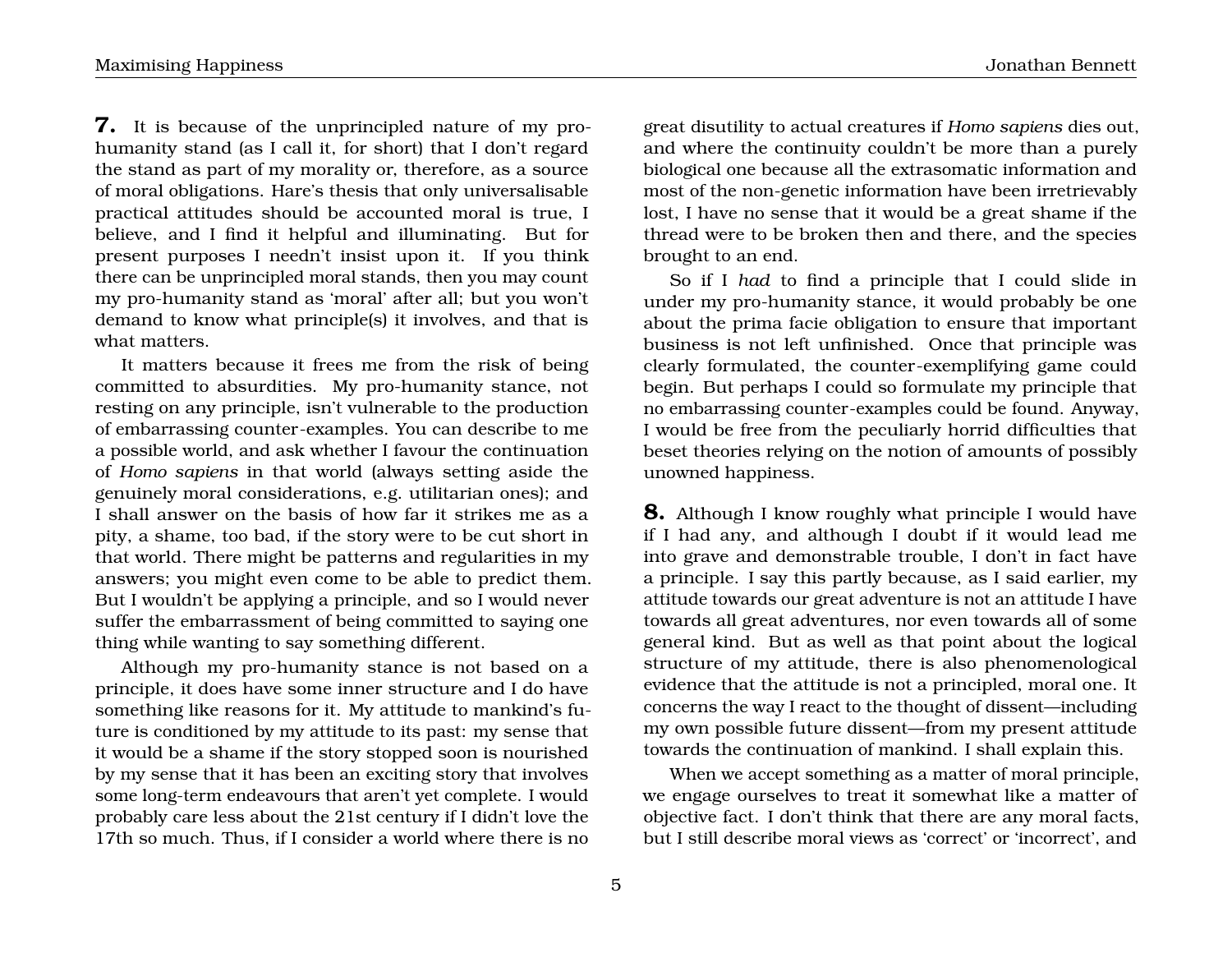**7.** It is because of the unprincipled nature of my prohumanity stand (as I call it, for short) that I don't regard the stand as part of my morality or, therefore, as a source of moral obligations. Hare's thesis that only universalisable practical attitudes should be accounted moral is true, I believe, and I find it helpful and illuminating. But for present purposes I needn't insist upon it. If you think there can be unprincipled moral stands, then you may count my pro-humanity stand as 'moral' after all; but you won't demand to know what principle(s) it involves, and that is what matters.

It matters because it frees me from the risk of being committed to absurdities. My pro-humanity stance, not resting on any principle, isn't vulnerable to the production of embarrassing counter-examples. You can describe to me a possible world, and ask whether I favour the continuation of *Homo sapiens* in that world (always setting aside the genuinely moral considerations, e.g. utilitarian ones); and I shall answer on the basis of how far it strikes me as a pity, a shame, too bad, if the story were to be cut short in that world. There might be patterns and regularities in my answers; you might even come to be able to predict them. But I wouldn't be applying a principle, and so I would never suffer the embarrassment of being committed to saying one thing while wanting to say something different.

Although my pro-humanity stance is not based on a principle, it does have some inner structure and I do have something like reasons for it. My attitude to mankind's future is conditioned by my attitude to its past: my sense that it would be a shame if the story stopped soon is nourished by my sense that it has been an exciting story that involves some long-term endeavours that aren't yet complete. I would probably care less about the 21st century if I didn't love the 17th so much. Thus, if I consider a world where there is no

great disutility to actual creatures if *Homo sapiens* dies out, and where the continuity couldn't be more than a purely biological one because all the extrasomatic information and most of the non-genetic information have been irretrievably lost, I have no sense that it would be a great shame if the thread were to be broken then and there, and the species brought to an end.

So if I *had* to find a principle that I could slide in under my pro-humanity stance, it would probably be one about the prima facie obligation to ensure that important business is not left unfinished. Once that principle was clearly formulated, the counter-exemplifying game could begin. But perhaps I could so formulate my principle that no embarrassing counter-examples could be found. Anyway, I would be free from the peculiarly horrid difficulties that beset theories relying on the notion of amounts of possibly unowned happiness.

**8.** Although I know roughly what principle I would have if I had any, and although I doubt if it would lead me into grave and demonstrable trouble, I don't in fact have a principle. I say this partly because, as I said earlier, my attitude towards our great adventure is not an attitude I have towards all great adventures, nor even towards all of some general kind. But as well as that point about the logical structure of my attitude, there is also phenomenological evidence that the attitude is not a principled, moral one. It concerns the way I react to the thought of dissent—including my own possible future dissent—from my present attitude towards the continuation of mankind. I shall explain this.

When we accept something as a matter of moral principle, we engage ourselves to treat it somewhat like a matter of objective fact. I don't think that there are any moral facts, but I still describe moral views as 'correct' or 'incorrect', and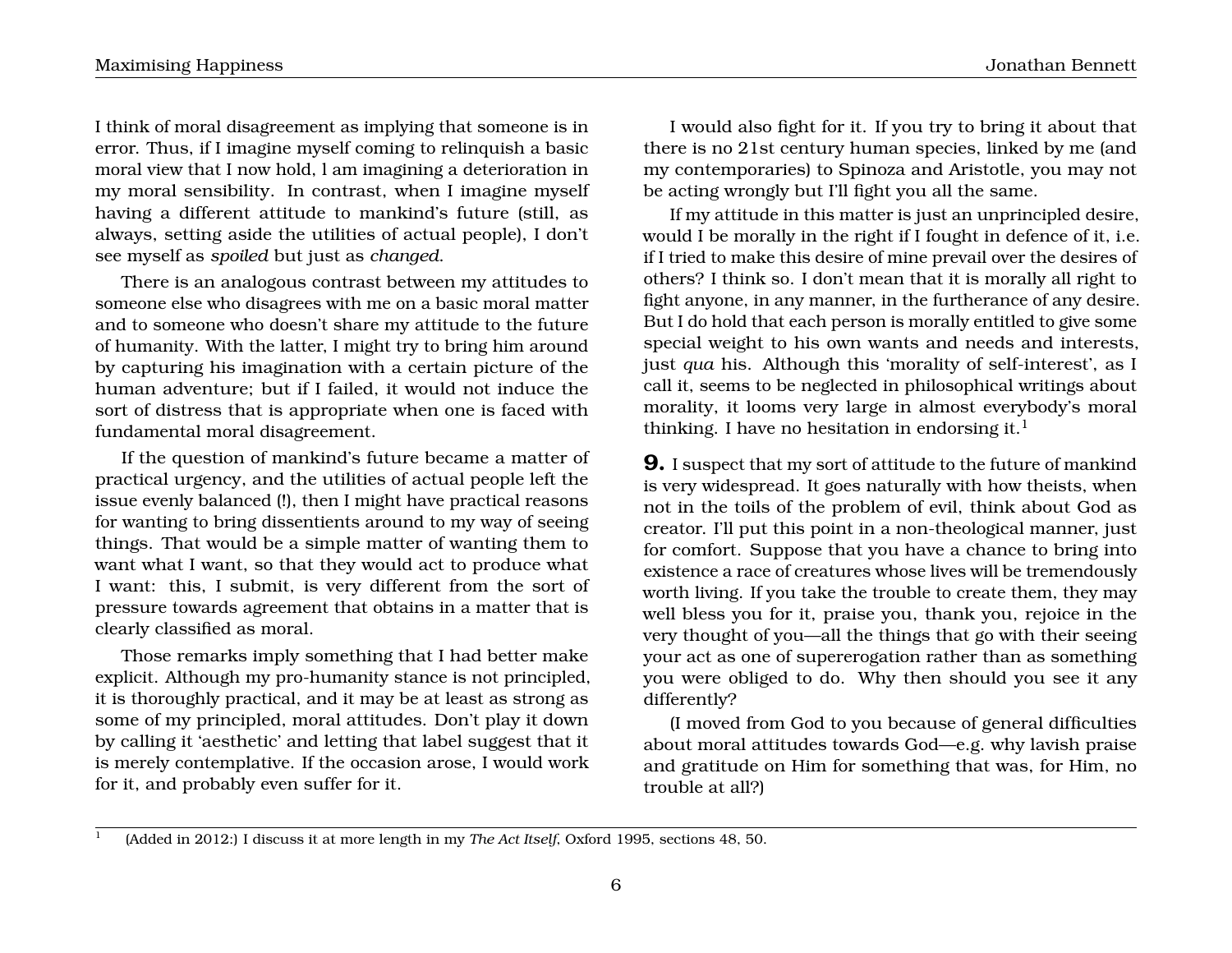I think of moral disagreement as implying that someone is in error. Thus, if I imagine myself coming to relinquish a basic moral view that I now hold, l am imagining a deterioration in my moral sensibility. In contrast, when I imagine myself having a different attitude to mankind's future (still, as always, setting aside the utilities of actual people), I don't see myself as *spoiled* but just as *changed*.

There is an analogous contrast between my attitudes to someone else who disagrees with me on a basic moral matter and to someone who doesn't share my attitude to the future of humanity. With the latter, I might try to bring him around by capturing his imagination with a certain picture of the human adventure; but if I failed, it would not induce the sort of distress that is appropriate when one is faced with fundamental moral disagreement.

If the question of mankind's future became a matter of practical urgency, and the utilities of actual people left the issue evenly balanced (!), then I might have practical reasons for wanting to bring dissentients around to my way of seeing things. That would be a simple matter of wanting them to want what I want, so that they would act to produce what I want: this, I submit, is very different from the sort of pressure towards agreement that obtains in a matter that is clearly classified as moral.

Those remarks imply something that I had better make explicit. Although my pro-humanity stance is not principled, it is thoroughly practical, and it may be at least as strong as some of my principled, moral attitudes. Don't play it down by calling it 'aesthetic' and letting that label suggest that it is merely contemplative. If the occasion arose, I would work for it, and probably even suffer for it.

I would also fight for it. If you try to bring it about that there is no 21st century human species, linked by me (and my contemporaries) to Spinoza and Aristotle, you may not be acting wrongly but I'll fight you all the same.

If my attitude in this matter is just an unprincipled desire, would I be morally in the right if I fought in defence of it, i.e. if I tried to make this desire of mine prevail over the desires of others? I think so. I don't mean that it is morally all right to fight anyone, in any manner, in the furtherance of any desire. But I do hold that each person is morally entitled to give some special weight to his own wants and needs and interests, just *qua* his. Although this 'morality of self-interest', as I call it, seems to be neglected in philosophical writings about morality, it looms very large in almost everybody's moral thinking. I have no hesitation in endorsing it.<sup>1</sup>

**9.** I suspect that my sort of attitude to the future of mankind is very widespread. It goes naturally with how theists, when not in the toils of the problem of evil, think about God as creator. I'll put this point in a non-theological manner, just for comfort. Suppose that you have a chance to bring into existence a race of creatures whose lives will be tremendously worth living. If you take the trouble to create them, they may well bless you for it, praise you, thank you, rejoice in the very thought of you—all the things that go with their seeing your act as one of supererogation rather than as something you were obliged to do. Why then should you see it any differently?

(I moved from God to you because of general difficulties about moral attitudes towards God—e.g. why lavish praise and gratitude on Him for something that was, for Him, no trouble at all?)

<sup>1</sup> (Added in 2012:) I discuss it at more length in my *The Act Itself*, Oxford 1995, sections 48, 50.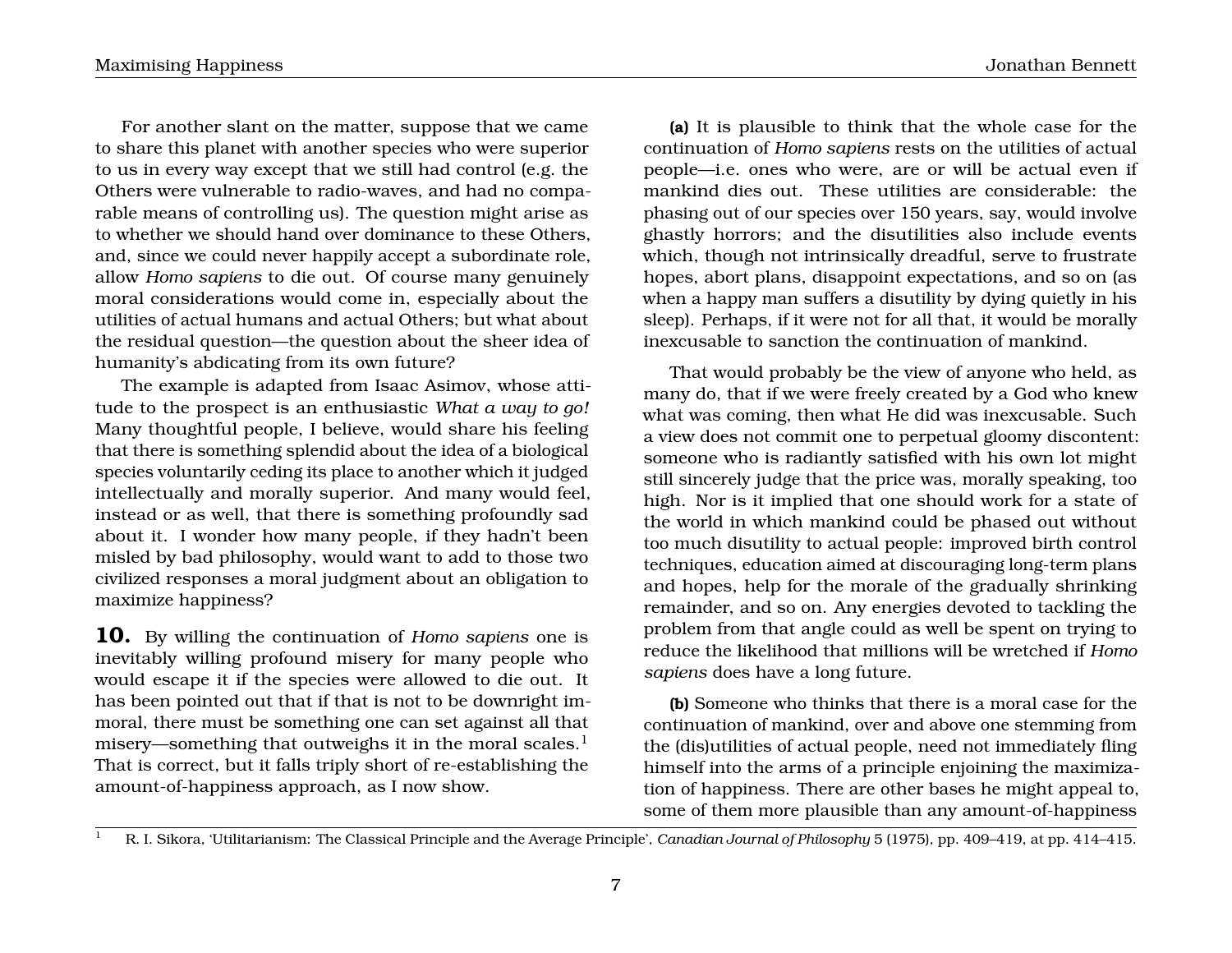For another slant on the matter, suppose that we came to share this planet with another species who were superior to us in every way except that we still had control (e.g. the Others were vulnerable to radio-waves, and had no comparable means of controlling us). The question might arise as to whether we should hand over dominance to these Others, and, since we could never happily accept a subordinate role, allow *Homo sapiens* to die out. Of course many genuinely moral considerations would come in, especially about the utilities of actual humans and actual Others; but what about the residual question—the question about the sheer idea of humanity's abdicating from its own future?

The example is adapted from Isaac Asimov, whose attitude to the prospect is an enthusiastic *What a way to go!* Many thoughtful people, I believe, would share his feeling that there is something splendid about the idea of a biological species voluntarily ceding its place to another which it judged intellectually and morally superior. And many would feel, instead or as well, that there is something profoundly sad about it. I wonder how many people, if they hadn't been misled by bad philosophy, would want to add to those two civilized responses a moral judgment about an obligation to maximize happiness?

**10.** By willing the continuation of *Homo sapiens* one is inevitably willing profound misery for many people who would escape it if the species were allowed to die out. It has been pointed out that if that is not to be downright immoral, there must be something one can set against all that misery—something that outweighs it in the moral scales.<sup>1</sup> That is correct, but it falls triply short of re-establishing the amount-of-happiness approach, as I now show.

**(a)** It is plausible to think that the whole case for the continuation of *Homo sapiens* rests on the utilities of actual people—i.e. ones who were, are or will be actual even if mankind dies out. These utilities are considerable: the phasing out of our species over 150 years, say, would involve ghastly horrors; and the disutilities also include events which, though not intrinsically dreadful, serve to frustrate hopes, abort plans, disappoint expectations, and so on (as when a happy man suffers a disutility by dying quietly in his sleep). Perhaps, if it were not for all that, it would be morally inexcusable to sanction the continuation of mankind.

That would probably be the view of anyone who held, as many do, that if we were freely created by a God who knew what was coming, then what He did was inexcusable. Such a view does not commit one to perpetual gloomy discontent: someone who is radiantly satisfied with his own lot might still sincerely judge that the price was, morally speaking, too high. Nor is it implied that one should work for a state of the world in which mankind could be phased out without too much disutility to actual people: improved birth control techniques, education aimed at discouraging long-term plans and hopes, help for the morale of the gradually shrinking remainder, and so on. Any energies devoted to tackling the problem from that angle could as well be spent on trying to reduce the likelihood that millions will be wretched if *Homo sapiens* does have a long future.

**(b)** Someone who thinks that there is a moral case for the continuation of mankind, over and above one stemming from the (dis)utilities of actual people, need not immediately fling himself into the arms of a principle enjoining the maximization of happiness. There are other bases he might appeal to, some of them more plausible than any amount-of-happiness

<sup>1</sup> R. I. Sikora, 'Utilitarianism: The Classical Principle and the Average Principle', *Canadian Journal of Philosophy* 5 (1975), pp. 409–419, at pp. 414–415.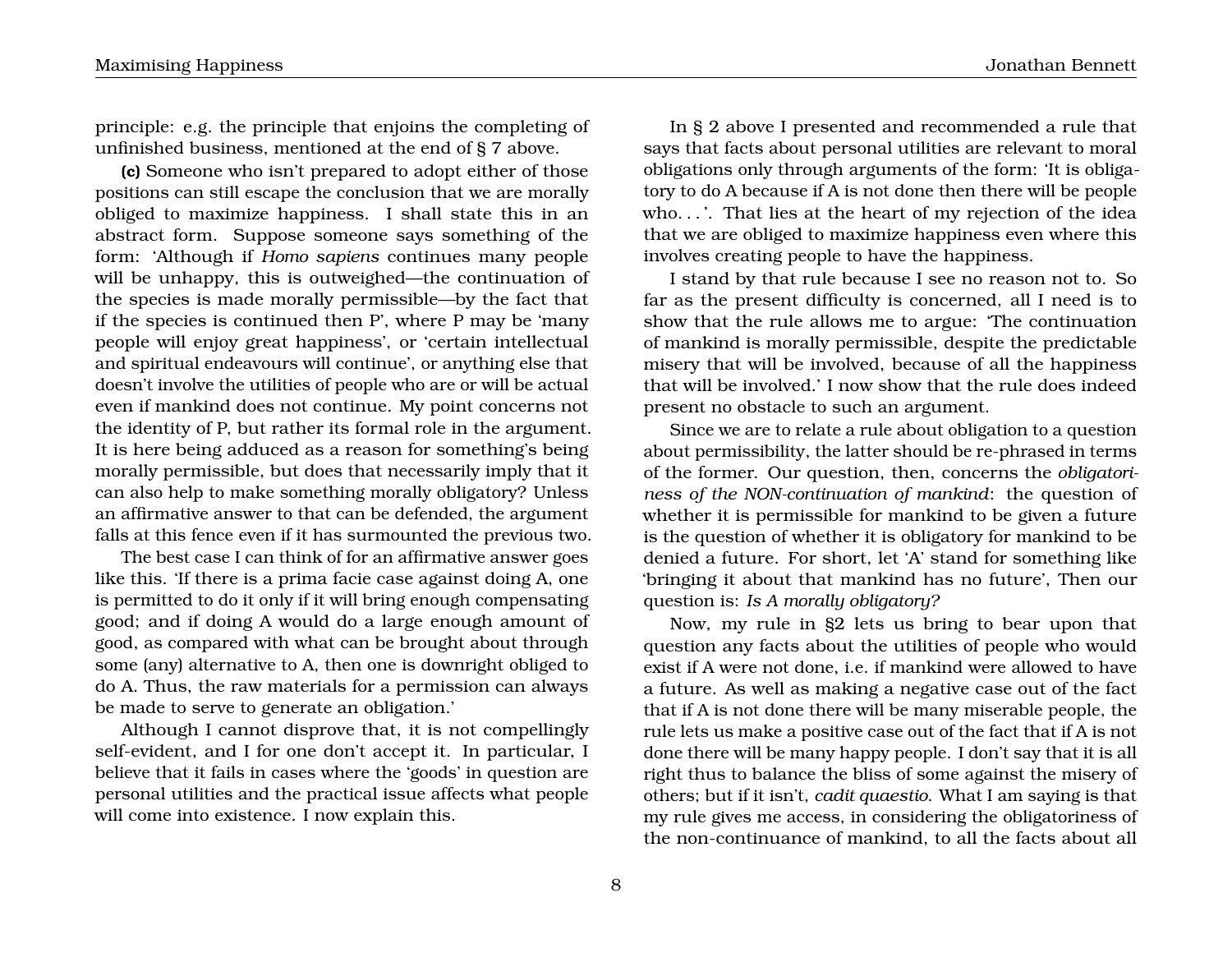principle: e.g. the principle that enjoins the completing of unfinished business, mentioned at the end of § 7 above.

**(c)** Someone who isn't prepared to adopt either of those positions can still escape the conclusion that we are morally obliged to maximize happiness. I shall state this in an abstract form. Suppose someone says something of the form: 'Although if *Homo sapiens* continues many people will be unhappy, this is outweighed—the continuation of the species is made morally permissible—by the fact that if the species is continued then P', where P may be 'many people will enjoy great happiness', or 'certain intellectual and spiritual endeavours will continue', or anything else that doesn't involve the utilities of people who are or will be actual even if mankind does not continue. My point concerns not the identity of P, but rather its formal role in the argument. It is here being adduced as a reason for something's being morally permissible, but does that necessarily imply that it can also help to make something morally obligatory? Unless an affirmative answer to that can be defended, the argument falls at this fence even if it has surmounted the previous two.

The best case I can think of for an affirmative answer goes like this. 'If there is a prima facie case against doing A, one is permitted to do it only if it will bring enough compensating good; and if doing A would do a large enough amount of good, as compared with what can be brought about through some (any) alternative to A, then one is downright obliged to do A. Thus, the raw materials for a permission can always be made to serve to generate an obligation.'

Although I cannot disprove that, it is not compellingly self-evident, and I for one don't accept it. In particular, I believe that it fails in cases where the 'goods' in question are personal utilities and the practical issue affects what people will come into existence. I now explain this.

In § 2 above I presented and recommended a rule that says that facts about personal utilities are relevant to moral obligations only through arguments of the form: 'It is obligatory to do A because if A is not done then there will be people who...'. That lies at the heart of my rejection of the idea that we are obliged to maximize happiness even where this involves creating people to have the happiness.

I stand by that rule because I see no reason not to. So far as the present difficulty is concerned, all I need is to show that the rule allows me to argue: 'The continuation of mankind is morally permissible, despite the predictable misery that will be involved, because of all the happiness that will be involved.' I now show that the rule does indeed present no obstacle to such an argument.

Since we are to relate a rule about obligation to a question about permissibility, the latter should be re-phrased in terms of the former. Our question, then, concerns the *obligatoriness of the NON-continuation of mankind*: the question of whether it is permissible for mankind to be given a future is the question of whether it is obligatory for mankind to be denied a future. For short, let 'A' stand for something like 'bringing it about that mankind has no future', Then our question is: *Is A morally obligatory?*

Now, my rule in §2 lets us bring to bear upon that question any facts about the utilities of people who would exist if A were not done, i.e. if mankind were allowed to have a future. As well as making a negative case out of the fact that if A is not done there will be many miserable people, the rule lets us make a positive case out of the fact that if A is not done there will be many happy people. I don't say that it is all right thus to balance the bliss of some against the misery of others; but if it isn't, *cadit quaestio*. What I am saying is that my rule gives me access, in considering the obligatoriness of the non-continuance of mankind, to all the facts about all